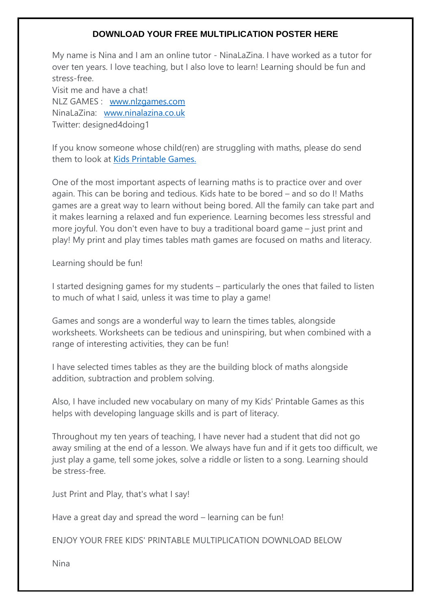## **DOWNLOAD YOUR FREE MULTIPLICATION POSTER HERE**

My name is Nina and I am an online tutor - NinaLaZina. I have worked as a tutor for over ten years. I love teaching, but I also love to learn! Learning should be fun and stress-free.

Visit me and have a chat! NLZ GAMES : [www.nlzgames.com](http://www.nlzgames.com/) NinaLaZina: [www.ninalazina.co.uk](http://www.ninalazina.co.uk/) Twitter: designed4doing1

If you know someone whose child(ren) are struggling with maths, please do send them to look at Kids [Printable](http://www.nlzgames.com/) Games.

One of the most important aspects of learning maths is to practice over and over again. This can be boring and tedious. Kids hate to be bored – and so do I! Maths games are a great way to learn without being bored. All the family can take part and it makes learning a relaxed and fun experience. Learning becomes less stressful and more joyful. You don't even have to buy a traditional board game – just print and play! My print and play times tables math games are focused on maths and literacy.

Learning should be fun!

I started designing games for my students – particularly the ones that failed to listen to much of what I said, unless it was time to play a game!

Games and songs are a wonderful way to learn the times tables, alongside worksheets. Worksheets can be tedious and uninspiring, but when combined with a range of interesting activities, they can be fun!

I have selected times tables as they are the building block of maths alongside addition, subtraction and problem solving.

Also, I have included new vocabulary on many of my Kids' Printable Games as this helps with developing language skills and is part of literacy.

Throughout my ten years of teaching, I have never had a student that did not go away smiling at the end of a lesson. We always have fun and if it gets too difficult, we just play a game, tell some jokes, solve a riddle or listen to a song. Learning should be stress-free.

Just Print and Play, that's what I say!

Have a great day and spread the word – learning can be fun!

ENJOY YOUR FREE KIDS' PRINTABLE MULTIPLICATION DOWNLOAD BELOW

Nina